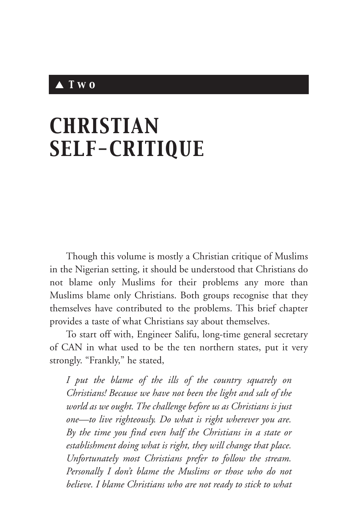## ▲ *Two*

## *CHRISTIAN SELF-CRITIQUE*

Though this volume is mostly a Christian critique of Muslims in the Nigerian setting, it should be understood that Christians do not blame only Muslims for their problems any more than Muslims blame only Christians. Both groups recognise that they themselves have contributed to the problems. This brief chapter provides a taste of what Christians say about themselves.

To start off with, Engineer Salifu, long-time general secretary of CAN in what used to be the ten northern states, put it very strongly. "Frankly," he stated,

*I put the blame of the ills of the country squarely on Christians! Because we have not been the light and salt of the world as we ought. The challenge before us as Christians is just one—to live righteously. Do what is right wherever you are. By the time you find even half the Christians in a state or establishment doing what is right, they will change that place. Unfortunately most Christians prefer to follow the stream. Personally I don't blame the Muslims or those who do not believe. I blame Christians who are not ready to stick to what*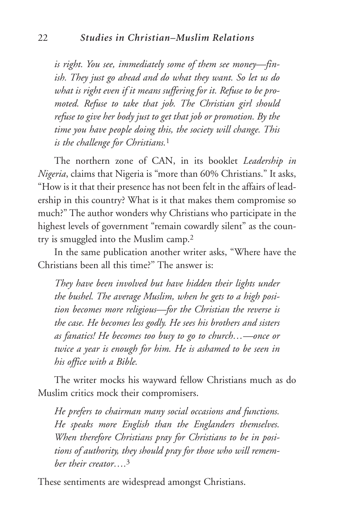*is right. You see, immediately some of them see money—finish. They just go ahead and do what they want. So let us do what is right even if it means suffering for it. Refuse to be promoted. Refuse to take that job. The Christian girl should refuse to give her body just to get that job or promotion. By the time you have people doing this, the society will change. This is the challenge for Christians.*<sup>1</sup>

The northern zone of CAN, in its booklet *Leadership in Nigeria*, claims that Nigeria is "more than 60% Christians." It asks, "How is it that their presence has not been felt in the affairs of leadership in this country? What is it that makes them compromise so much?" The author wonders why Christians who participate in the highest levels of government "remain cowardly silent" as the country is smuggled into the Muslim camp.2

In the same publication another writer asks, "Where have the Christians been all this time?'' The answer is:

*They have been involved but have hidden their lights under the bushel. The average Muslim, when he gets to a high position becomes more religious—for the Christian the reverse is the case. He becomes less godly. He sees his brothers and sisters as fanatics! He becomes too busy to go to church…—once or twice a year is enough for him. He is ashamed to be seen in his office with a Bible.*

The writer mocks his wayward fellow Christians much as do Muslim critics mock their compromisers.

*He prefers to chairman many social occasions and functions. He speaks more English than the Englanders themselves. When therefore Christians pray for Christians to be in positions of authority, they should pray for those who will remember their creator….*<sup>3</sup>

These sentiments are widespread amongst Christians.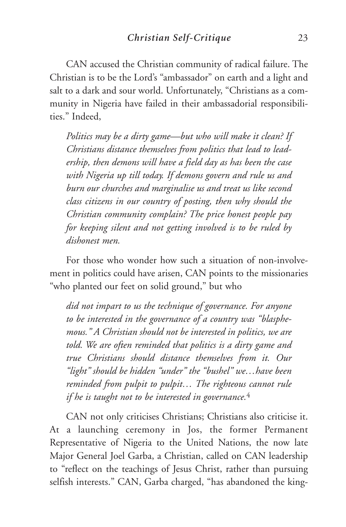CAN accused the Christian community of radical failure. The Christian is to be the Lord's "ambassador" on earth and a light and salt to a dark and sour world. Unfortunately, "Christians as a community in Nigeria have failed in their ambassadorial responsibilities." Indeed,

*Politics may be a dirty game—but who will make it clean? If Christians distance themselves from politics that lead to leadership, then demons will have a field day as has been the case with Nigeria up till today. If demons govern and rule us and burn our churches and marginalise us and treat us like second class citizens in our country of posting, then why should the Christian community complain? The price honest people pay for keeping silent and not getting involved is to be ruled by dishonest men.*

For those who wonder how such a situation of non-involvement in politics could have arisen, CAN points to the missionaries "who planted our feet on solid ground," but who

*did not impart to us the technique of governance. For anyone to be interested in the governance of a country was "blasphemous." A Christian should not be interested in politics, we are told. We are often reminded that politics is a dirty game and true Christians should distance themselves from it. Our "light" should be hidden "under" the "bushel" we…have been reminded from pulpit to pulpit… The righteous cannot rule if he is taught not to be interested in governance.*<sup>4</sup>

CAN not only criticises Christians; Christians also criticise it. At a launching ceremony in Jos, the former Permanent Representative of Nigeria to the United Nations, the now late Major General Joel Garba, a Christian, called on CAN leadership to "reflect on the teachings of Jesus Christ, rather than pursuing selfish interests." CAN, Garba charged, "has abandoned the king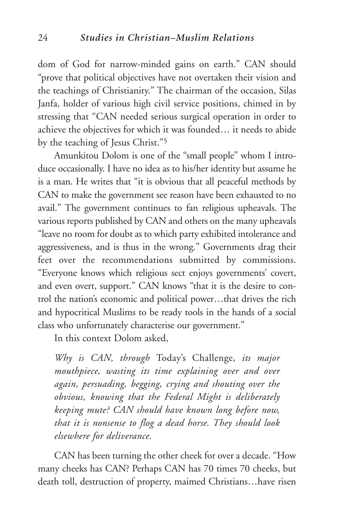dom of God for narrow-minded gains on earth." CAN should "prove that political objectives have not overtaken their vision and the teachings of Christianity." The chairman of the occasion, Silas Janfa, holder of various high civil service positions, chimed in by stressing that "CAN needed serious surgical operation in order to achieve the objectives for which it was founded… it needs to abide by the teaching of Jesus Christ."5

Amunkitou Dolom is one of the "small people" whom I introduce occasionally. I have no idea as to his/her identity but assume he is a man. He writes that "it is obvious that all peaceful methods by CAN to make the government see reason have been exhausted to no avail." The government continues to fan religious upheavals. The various reports published by CAN and others on the many upheavals "leave no room for doubt as to which party exhibited intolerance and aggressiveness, and is thus in the wrong." Governments drag their feet over the recommendations submitted by commissions. "Everyone knows which religious sect enjoys governments' covert, and even overt, support." CAN knows "that it is the desire to control the nation's economic and political power…that drives the rich and hypocritical Muslims to be ready tools in the hands of a social class who unfortunately characterise our government."

In this context Dolom asked,

*Why is CAN, through* Today's Challenge, *its major mouthpiece, wasting its time explaining over and over again, persuading, begging, crying and shouting over the obvious, knowing that the Federal Might is deliberately keeping mute? CAN should have known long before now, that it is nonsense to flog a dead horse. They should look elsewhere for deliverance.*

CAN has been turning the other cheek for over a decade. "How many cheeks has CAN? Perhaps CAN has 70 times 70 cheeks, but death toll, destruction of property, maimed Christians…have risen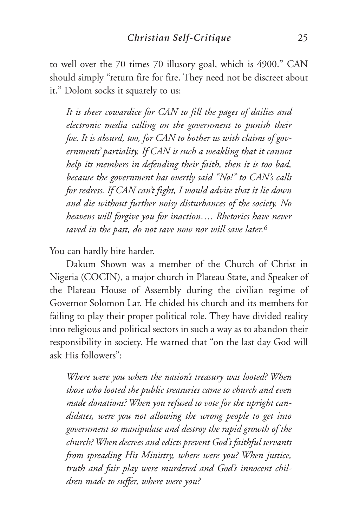to well over the 70 times 70 illusory goal, which is 4900." CAN should simply "return fire for fire. They need not be discreet about it." Dolom socks it squarely to us:

*It is sheer cowardice for CAN to fill the pages of dailies and electronic media calling on the government to punish their foe. It is absurd, too, for CAN to bother us with claims of governments' partiality. If CAN is such a weakling that it cannot help its members in defending their faith, then it is too bad, because the government has overtly said "No!" to CAN's calls for redress. If CAN can't fight, I would advise that it lie down and die without further noisy disturbances of the society. No heavens will forgive you for inaction…. Rhetorics have never saved in the past, do not save now nor will save later.6*

You can hardly bite harder.

Dakum Shown was a member of the Church of Christ in Nigeria (COCIN), a major church in Plateau State, and Speaker of the Plateau House of Assembly during the civilian regime of Governor Solomon Lar. He chided his church and its members for failing to play their proper political role. They have divided reality into religious and political sectors in such a way as to abandon their responsibility in society. He warned that "on the last day God will ask His followers":

*Where were you when the nation's treasury was looted? When those who looted the public treasuries came to church and even made donations? When you refused to vote for the upright candidates, were you not allowing the wrong people to get into government to manipulate and destroy the rapid growth of the church? When decrees and edicts prevent God's faithful servants from spreading His Ministry, where were you? When justice, truth and fair play were murdered and God's innocent children made to suffer, where were you?*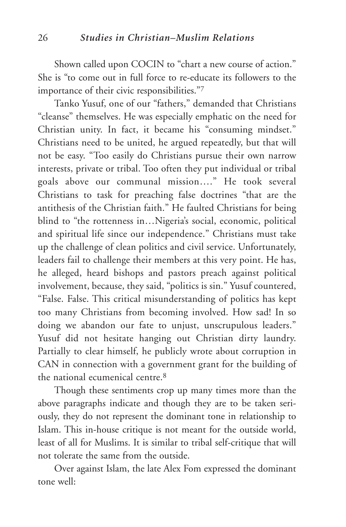Shown called upon COCIN to "chart a new course of action." She is "to come out in full force to re-educate its followers to the importance of their civic responsibilities."7

Tanko Yusuf, one of our "fathers," demanded that Christians "cleanse" themselves. He was especially emphatic on the need for Christian unity. In fact, it became his "consuming mindset." Christians need to be united, he argued repeatedly, but that will not be easy. "Too easily do Christians pursue their own narrow interests, private or tribal. Too often they put individual or tribal goals above our communal mission…." He took several Christians to task for preaching false doctrines "that are the antithesis of the Christian faith." He faulted Christians for being blind to "the rottenness in…Nigeria's social, economic, political and spiritual life since our independence." Christians must take up the challenge of clean politics and civil service. Unfortunately, leaders fail to challenge their members at this very point. He has, he alleged, heard bishops and pastors preach against political involvement, because, they said, "politics is sin." Yusuf countered, "False. False. This critical misunderstanding of politics has kept too many Christians from becoming involved. How sad! In so doing we abandon our fate to unjust, unscrupulous leaders." Yusuf did not hesitate hanging out Christian dirty laundry. Partially to clear himself, he publicly wrote about corruption in CAN in connection with a government grant for the building of the national ecumenical centre  $8$ 

Though these sentiments crop up many times more than the above paragraphs indicate and though they are to be taken seriously, they do not represent the dominant tone in relationship to Islam. This in-house critique is not meant for the outside world, least of all for Muslims. It is similar to tribal self-critique that will not tolerate the same from the outside.

Over against Islam, the late Alex Fom expressed the dominant tone well: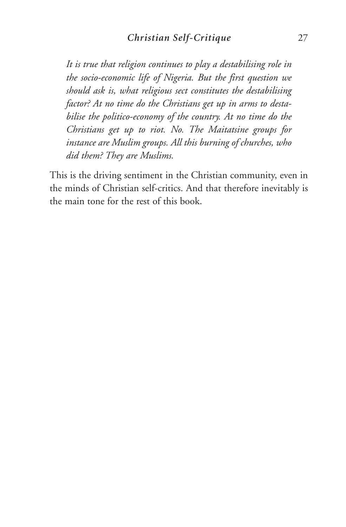*It is true that religion continues to play a destabilising role in the socio-economic life of Nigeria. But the first question we should ask is, what religious sect constitutes the destabilising factor? At no time do the Christians get up in arms to destabilise the politico-economy of the country. At no time do the Christians get up to riot. No. The Maitatsine groups for instance are Muslim groups. All this burning of churches, who did them? They are Muslims.*

This is the driving sentiment in the Christian community, even in the minds of Christian self-critics. And that therefore inevitably is the main tone for the rest of this book.